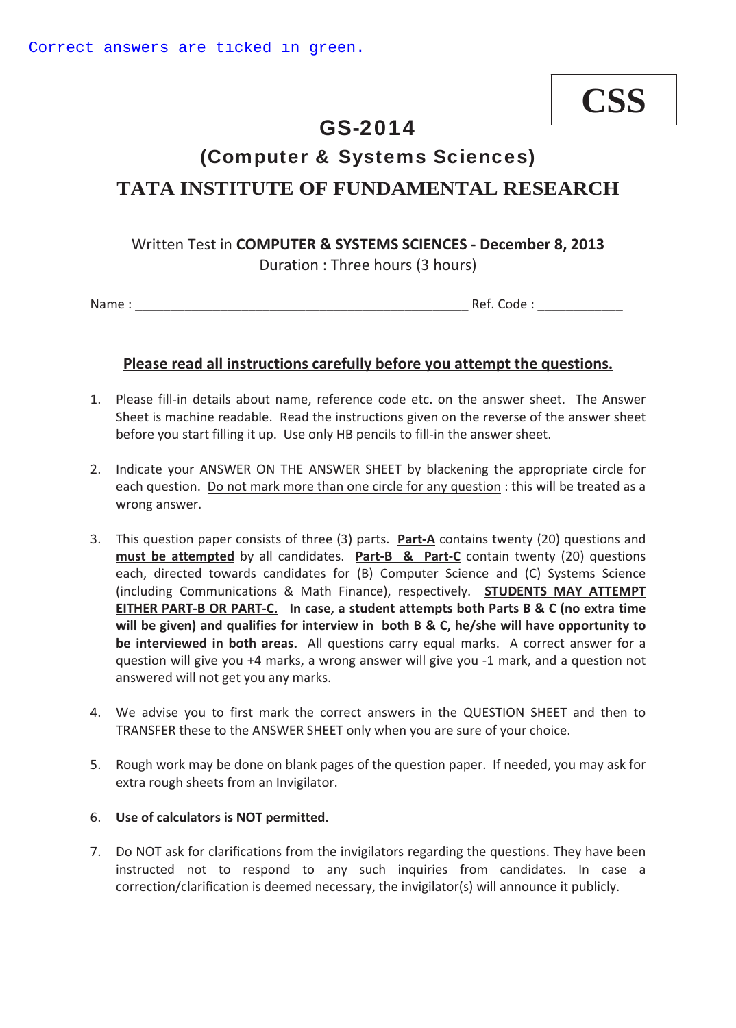# **CSS**

## GS-2014

## (Computer & Systems Sciences)

### **TATA INSTITUTE OF FUNDAMENTAL RESEARCH**

#### **Written Test in COMPUTER & SYSTEMS SCIENCES - December 8, 2013** Duration : Three hours (3 hours)

Name : \_\_\_\_\_\_\_\_\_\_\_\_\_\_\_\_\_\_\_\_\_\_\_\_\_\_\_\_\_\_\_\_\_\_\_\_\_\_\_\_\_\_\_\_\_\_\_ Ref. Code : \_\_\_\_\_\_\_\_\_\_\_\_

#### **Please read all instructions carefully before you attempt the questions.**

- 1. Please fill-in details about name, reference code etc. on the answer sheet. The Answer Sheet is machine readable. Read the instructions given on the reverse of the answer sheet before you start filling it up. Use only HB pencils to fill-in the answer sheet.
- 2. Indicate your ANSWER ON THE ANSWER SHEET by blackening the appropriate circle for each question. Do not mark more than one circle for any question : this will be treated as a wrong answer.
- 3. This question paper consists of three (3) parts.**PartͲA** contains twenty (20) questions and **must be attempted** by all candidates. **Part-B & Part-C** contain twenty (20) questions each, directed towards candidates for (B) Computer Science and (C) Systems Science (including Communications & Math Finance), respectively. **STUDENTS MAY ATTEMPT** EITHER PART-B OR PART-C. In case, a student attempts both Parts B & C (no extra time **will be given) and qualifies for interview inboth B & C, he/she will have opportunity to be interviewed in both areas.** All questions carry equal marks. A correct answer for a question will give you +4 marks, a wrong answer will give you -1 mark, and a question not answered will not get you any marks.
- 4. We advise you to first mark the correct answers in the QUESTION SHEET and then to TRANSFER these to the ANSWER SHEET only when you are sure of your choice.
- 5. Rough work may be done on blank pages of the question paper. If needed, you may ask for extra rough sheets from an Invigilator.

#### 6. **Use of calculators is NOT permitted.**

7. Do NOT ask for clarifications from the invigilators regarding the questions. They have been instructed not to respond to any such inquiries from candidates. In case a correction/clarification is deemed necessary, the invigilator(s) will announce it publicly.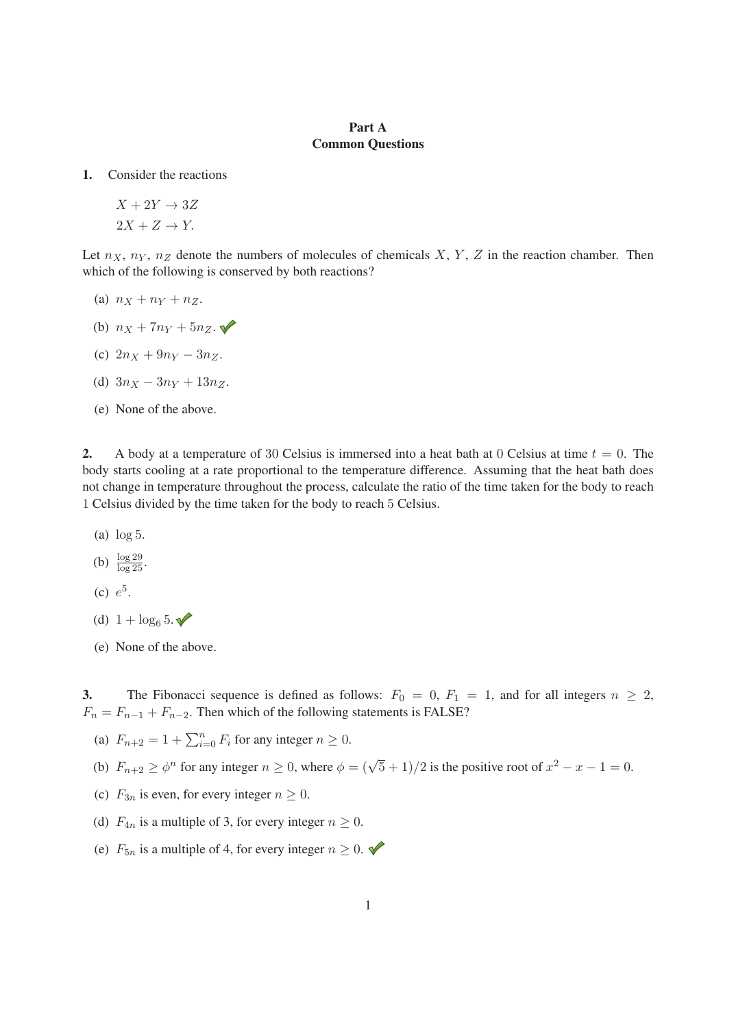#### Part A Common Questions

1. Consider the reactions

$$
X + 2Y \rightarrow 3Z
$$
  

$$
2X + Z \rightarrow Y.
$$

Let  $n_X$ ,  $n_Y$ ,  $n_Z$  denote the numbers of molecules of chemicals X, Y, Z in the reaction chamber. Then which of the following is conserved by both reactions?

- (a)  $n_X + n_Y + n_Z$ .
- (b)  $n_X + 7n_Y + 5n_Z$ .
- (c)  $2n_X + 9n_Y 3n_Z$ .
- (d)  $3n_X 3n_Y + 13n_Z$ .
- (e) None of the above.

2. A body at a temperature of 30 Celsius is immersed into a heat bath at 0 Celsius at time  $t = 0$ . The body starts cooling at a rate proportional to the temperature difference. Assuming that the heat bath does not change in temperature throughout the process, calculate the ratio of the time taken for the body to reach 1 Celsius divided by the time taken for the body to reach 5 Celsius.

- (a) log 5.
- (b)  $\frac{\log 29}{\log 25}$ .
- (c)  $e^5$ .
- (d)  $1 + \log_6 5$ .
- (e) None of the above.

3. The Fibonacci sequence is defined as follows:  $F_0 = 0$ ,  $F_1 = 1$ , and for all integers  $n \ge 2$ ,  $F_n = F_{n-1} + F_{n-2}$ . Then which of the following statements is FALSE?

- (a)  $F_{n+2} = 1 + \sum_{i=0}^{n} F_i$  for any integer  $n \ge 0$ .
- (b)  $F_{n+2} \ge \phi^n$  for any integer  $n \ge 0$ , where  $\phi = (\sqrt{5} + 1)/2$  is the positive root of  $x^2 x 1 = 0$ .
- (c)  $F_{3n}$  is even, for every integer  $n \geq 0$ .
- (d)  $F_{4n}$  is a multiple of 3, for every integer  $n \geq 0$ .
- (e)  $F_{5n}$  is a multiple of 4, for every integer  $n \geq 0$ .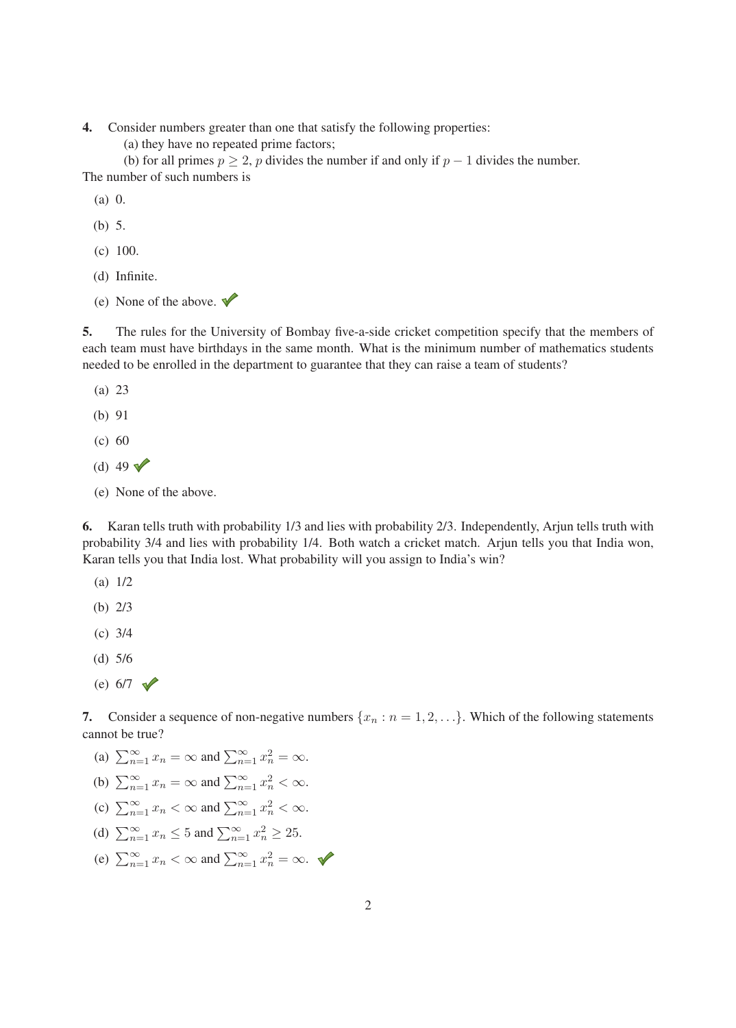- 4. Consider numbers greater than one that satisfy the following properties:
	- (a) they have no repeated prime factors;

(b) for all primes  $p \ge 2$ , p divides the number if and only if  $p - 1$  divides the number. The number of such numbers is

- (a) 0.
- (b) 5.
- (c) 100.
- (d) Infinite.
- (e) None of the above.  $\blacktriangledown$

5. The rules for the University of Bombay five-a-side cricket competition specify that the members of each team must have birthdays in the same month. What is the minimum number of mathematics students needed to be enrolled in the department to guarantee that they can raise a team of students?

- (a) 23
- (b) 91
- (c) 60
- (d) 49  $\sqrt{ }$
- (e) None of the above.

6. Karan tells truth with probability 1/3 and lies with probability 2/3. Independently, Arjun tells truth with probability 3/4 and lies with probability 1/4. Both watch a cricket match. Arjun tells you that India won, Karan tells you that India lost. What probability will you assign to India's win?

- (a) 1/2
- (b) 2/3
- (c) 3/4
- (d) 5/6
- (e)  $6/7 \sqrt{ }$

7. Consider a sequence of non-negative numbers  $\{x_n : n = 1, 2, ...\}$ . Which of the following statements cannot be true?

- (a)  $\sum_{n=1}^{\infty} x_n = \infty$  and  $\sum_{n=1}^{\infty} x_n^2 = \infty$ .
- (b)  $\sum_{n=1}^{\infty} x_n = \infty$  and  $\sum_{n=1}^{\infty} x_n^2 < \infty$ .
- (c)  $\sum_{n=1}^{\infty} x_n < \infty$  and  $\sum_{n=1}^{\infty} x_n^2 < \infty$ .
- (d)  $\sum_{n=1}^{\infty} x_n \le 5$  and  $\sum_{n=1}^{\infty} x_n^2 \ge 25$ .
- (e)  $\sum_{n=1}^{\infty} x_n < \infty$  and  $\sum_{n=1}^{\infty} x_n^2 = \infty$ .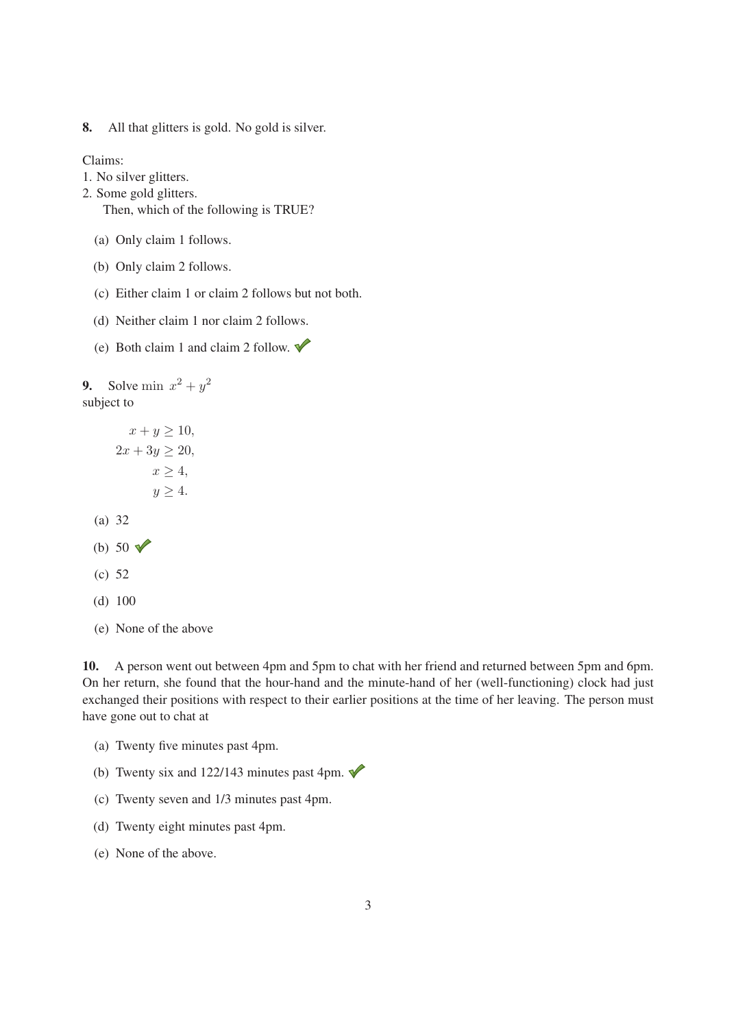8. All that glitters is gold. No gold is silver.

Claims:

- 1. No silver glitters.
- 2. Some gold glitters.

Then, which of the following is TRUE?

- (a) Only claim 1 follows.
- (b) Only claim 2 follows.
- (c) Either claim 1 or claim 2 follows but not both.
- (d) Neither claim 1 nor claim 2 follows.
- (e) Both claim 1 and claim 2 follow.  $\blacklozenge$

9. Solve min  $x^2 + y^2$ subject to

- $x + y \geq 10$ ,  $2x + 3y \ge 20$ ,  $x \geq 4$ ,  $y \geq 4$ . (a) 32 (b) 50  $\sqrt{ }$ (c) 52 (d) 100
- (e) None of the above

10. A person went out between 4pm and 5pm to chat with her friend and returned between 5pm and 6pm. On her return, she found that the hour-hand and the minute-hand of her (well-functioning) clock had just exchanged their positions with respect to their earlier positions at the time of her leaving. The person must have gone out to chat at

- (a) Twenty five minutes past 4pm.
- (b) Twenty six and 122/143 minutes past 4pm.  $\blacklozenge$
- (c) Twenty seven and 1/3 minutes past 4pm.
- (d) Twenty eight minutes past 4pm.
- (e) None of the above.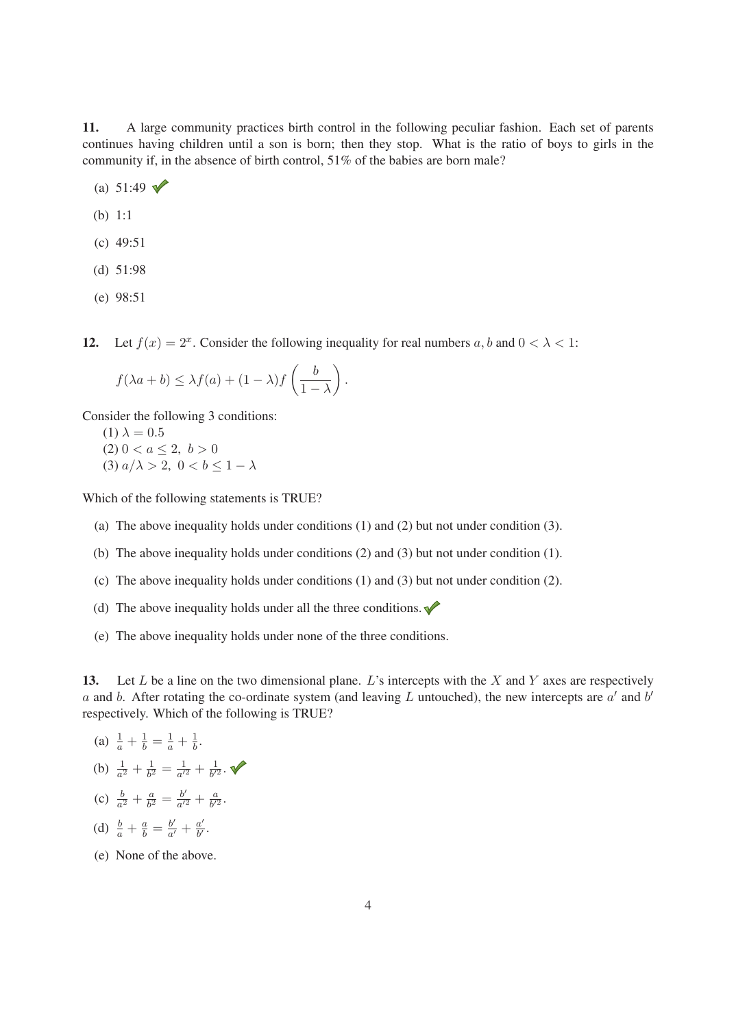11. A large community practices birth control in the following peculiar fashion. Each set of parents continues having children until a son is born; then they stop. What is the ratio of boys to girls in the community if, in the absence of birth control, 51% of the babies are born male?

- (a)  $51:49$   $\sqrt{ }$
- (b) 1:1
- (c) 49:51
- (d) 51:98
- (e) 98:51

12. Let  $f(x)=2^x$ . Consider the following inequality for real numbers a, b and  $0 < \lambda < 1$ :

$$
f(\lambda a + b) \leq \lambda f(a) + (1 - \lambda)f\left(\frac{b}{1 - \lambda}\right).
$$

Consider the following 3 conditions:

(1)  $\lambda = 0.5$ (2)  $0 < a \leq 2, b > 0$ (3)  $a/\lambda > 2$ ,  $0 < b \leq 1 - \lambda$ 

Which of the following statements is TRUE?

- (a) The above inequality holds under conditions (1) and (2) but not under condition (3).
- (b) The above inequality holds under conditions (2) and (3) but not under condition (1).
- (c) The above inequality holds under conditions (1) and (3) but not under condition (2).
- (d) The above inequality holds under all the three conditions.  $\blacklozenge$
- (e) The above inequality holds under none of the three conditions.

13. Let L be a line on the two dimensional plane. L's intercepts with the X and Y axes are respectively a and b. After rotating the co-ordinate system (and leaving L untouched), the new intercepts are  $a'$  and  $b'$ respectively. Which of the following is TRUE?

- (a)  $\frac{1}{a} + \frac{1}{b} = \frac{1}{a} + \frac{1}{b}$ .
- (b)  $\frac{1}{a^2} + \frac{1}{b^2} = \frac{1}{a'^2} + \frac{1}{b'^2}$ .
- (c)  $\frac{b}{a^2} + \frac{a}{b^2} = \frac{b'}{a'^2} + \frac{a}{b'^2}$ .
- (d)  $\frac{b}{a} + \frac{a}{b} = \frac{b'}{a'} + \frac{a'}{b'}$ .
- (e) None of the above.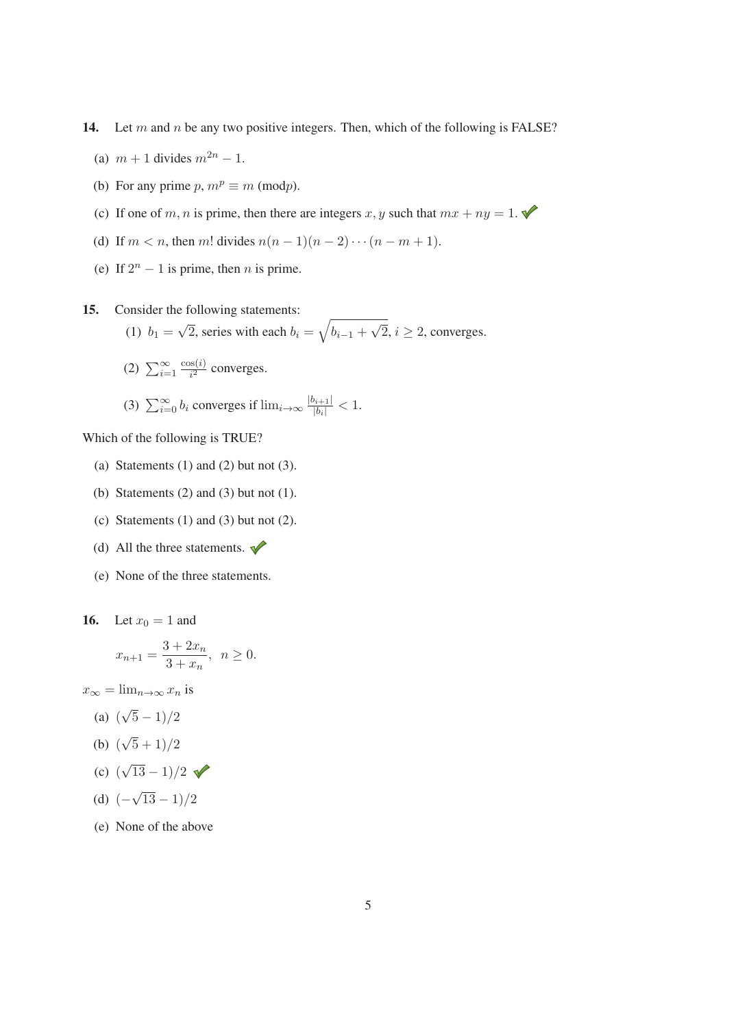14. Let  $m$  and  $n$  be any two positive integers. Then, which of the following is FALSE?

- (a)  $m + 1$  divides  $m^{2n} 1$ .
- (b) For any prime  $p, m^p \equiv m \pmod{p}$ .
- (c) If one of m, n is prime, then there are integers x, y such that  $mx + ny = 1$ .
- (d) If  $m < n$ , then m! divides  $n(n 1)(n 2) \cdots (n m + 1)$ .
- (e) If  $2^n 1$  is prime, then *n* is prime.
- 15. Consider the following statements: (1)  $b_1 = \sqrt{2}$ , series with each  $b_i = \sqrt{b_{i-1} + \sqrt{2}}$ ,  $i \ge 2$ , converges.
	- (2)  $\sum_{i=1}^{\infty}$  $\frac{\cos(i)}{i^2}$  converges.
	- (3)  $\sum_{i=0}^{\infty} b_i$  converges if  $\lim_{i\to\infty} \frac{|b_{i+1}|}{|b_i|} < 1$ .

Which of the following is TRUE?

- (a) Statements  $(1)$  and  $(2)$  but not  $(3)$ .
- (b) Statements  $(2)$  and  $(3)$  but not  $(1)$ .
- (c) Statements  $(1)$  and  $(3)$  but not  $(2)$ .
- (d) All the three statements.  $\blacklozenge$
- (e) None of the three statements.

**16.** Let  $x_0 = 1$  and

$$
x_{n+1} = \frac{3 + 2x_n}{3 + x_n}, \ \ n \ge 0.
$$

 $x_{\infty} = \lim_{n \to \infty} x_n$  is

- (a)  $(\sqrt{5}-1)/2$
- (b)  $(\sqrt{5} + 1)/2$
- (c)  $(\sqrt{13}-1)/2$
- (d)  $(-\sqrt{13}-1)/2$
- (e) None of the above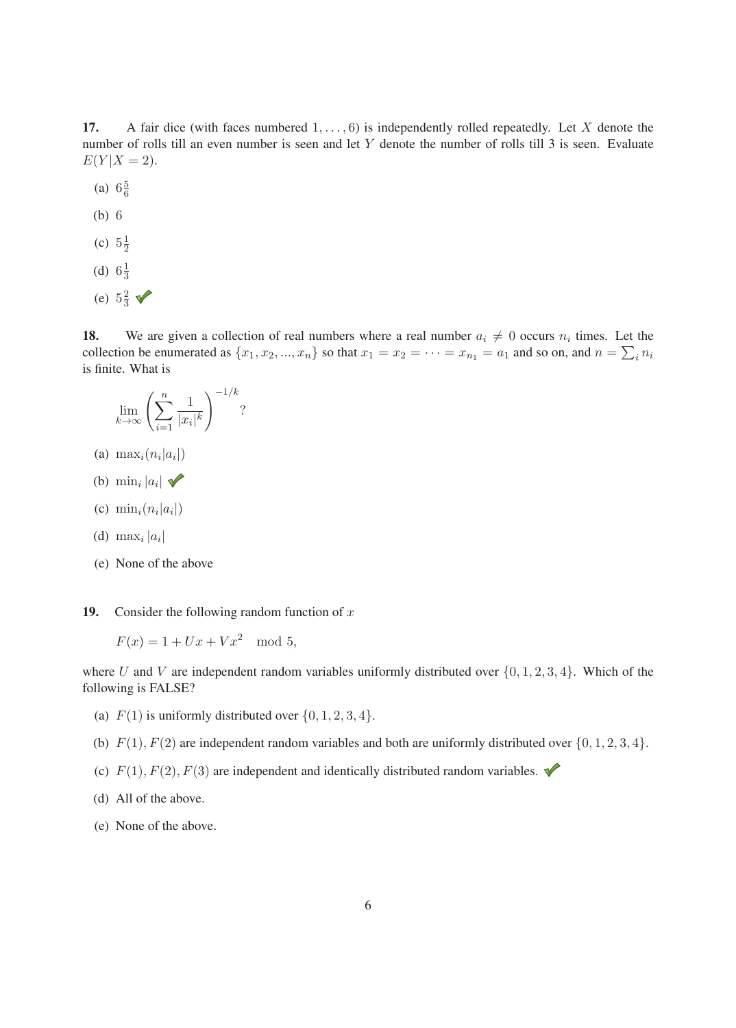17. A fair dice (with faces numbered  $1, \ldots, 6$ ) is independently rolled repeatedly. Let X denote the number of rolls till an even number is seen and let Y denote the number of rolls till 3 is seen. Evaluate  $E(Y|X = 2)$ .

- (a)  $6\frac{5}{6}$
- (b) 6
- (c)  $5\frac{1}{2}$
- (d)  $6\frac{1}{3}$
- (e)  $5\frac{2}{3}$

18. We are given a collection of real numbers where a real number  $a_i \neq 0$  occurs  $n_i$  times. Let the collection be enumerated as  $\{x_1, x_2, ..., x_n\}$  so that  $x_1 = x_2 = \cdots = x_{n_1} = a_1$  and so on, and  $n = \sum_i n_i$ is finite. What is

$$
\lim_{k \to \infty} \left( \sum_{i=1}^n \frac{1}{|x_i|^k} \right)^{-1/k}
$$
?

- (a)  $\max_i(n_i|a_i|)$
- (b)  $\min_i |a_i|$   $\checkmark$
- (c)  $\min_i(n_i|a_i|)$
- (d) max<sub>i</sub>  $|a_i|$
- (e) None of the above

19. Consider the following random function of  $x$ 

$$
F(x) = 1 + Ux + Vx^2 \mod 5,
$$

where U and V are independent random variables uniformly distributed over  $\{0, 1, 2, 3, 4\}$ . Which of the following is FALSE?

- (a)  $F(1)$  is uniformly distributed over  $\{0, 1, 2, 3, 4\}.$
- (b)  $F(1), F(2)$  are independent random variables and both are uniformly distributed over  $\{0, 1, 2, 3, 4\}.$
- (c)  $F(1), F(2), F(3)$  are independent and identically distributed random variables.
- (d) All of the above.
- (e) None of the above.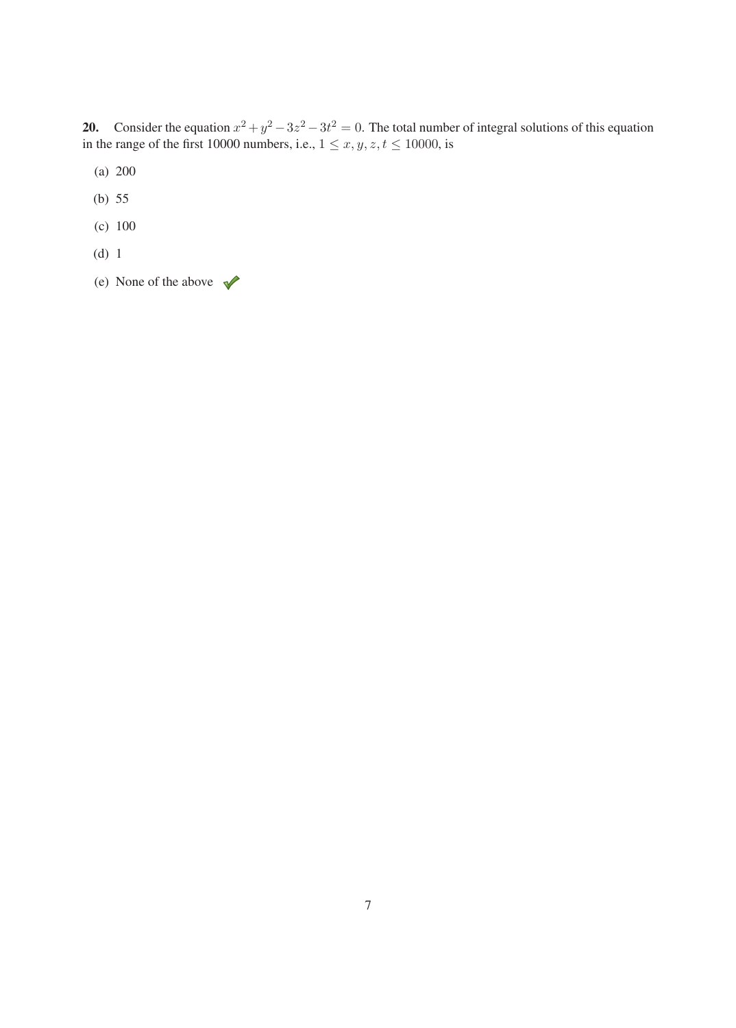**20.** Consider the equation  $x^2 + y^2 - 3z^2 - 3t^2 = 0$ . The total number of integral solutions of this equation in the range of the first 10000 numbers, i.e.,  $1 \le x, y, z, t \le 10000$ , is

- (a) 200
- (b) 55
- (c) 100
- (d) 1
- (e) None of the above  $\sqrt{\phantom{a}}$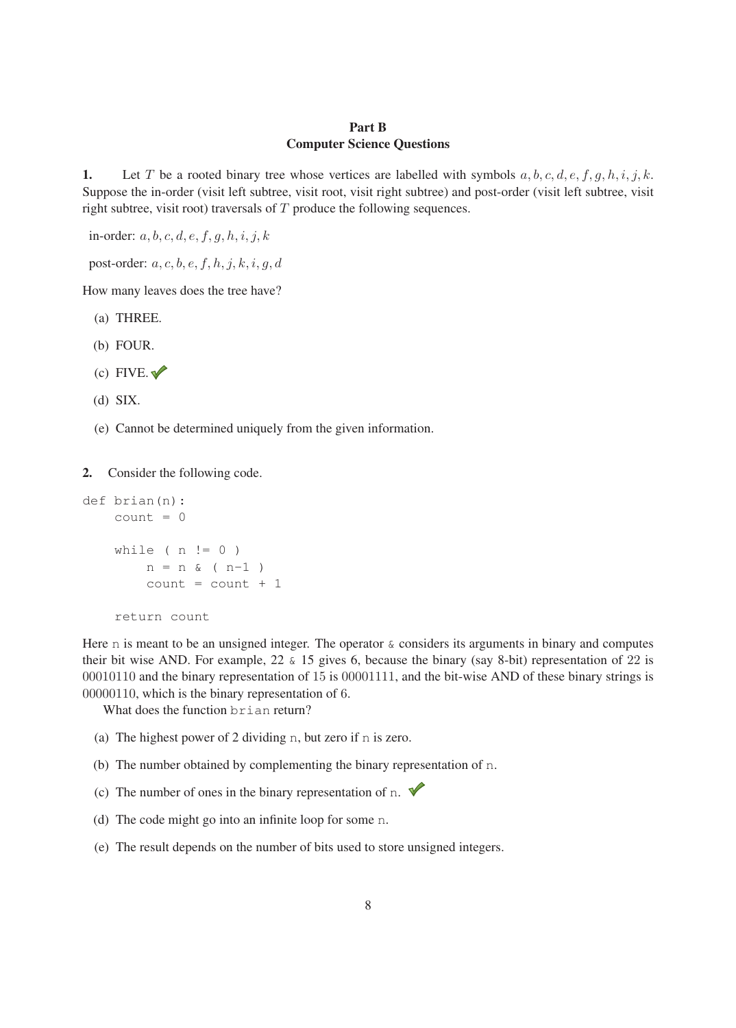#### Part B Computer Science Questions

1. Let T be a rooted binary tree whose vertices are labelled with symbols  $a, b, c, d, e, f, g, h, i, j, k$ . Suppose the in-order (visit left subtree, visit root, visit right subtree) and post-order (visit left subtree, visit right subtree, visit root) traversals of  $T$  produce the following sequences.

in-order:  $a, b, c, d, e, f, g, h, i, j, k$ 

post-order:  $a, c, b, e, f, h, j, k, i, g, d$ 

How many leaves does the tree have?

- (a) THREE.
- (b) FOUR.
- $(c)$  FIVE.
- (d) SIX.
- (e) Cannot be determined uniquely from the given information.

2. Consider the following code.

```
def brian(n):
count = 0while ( n := 0 )
    n = n \& (n-1)count = count + 1return count
```
Here  $n$  is meant to be an unsigned integer. The operator  $\&$  considers its arguments in binary and computes their bit wise AND. For example, 22 & 15 gives 6, because the binary (say 8-bit) representation of 22 is 00010110 and the binary representation of 15 is 00001111, and the bit-wise AND of these binary strings is 00000110, which is the binary representation of 6.

What does the function brian return?

- (a) The highest power of 2 dividing n, but zero if n is zero.
- (b) The number obtained by complementing the binary representation of n.
- (c) The number of ones in the binary representation of n.  $\blacklozenge$
- (d) The code might go into an infinite loop for some n.
- (e) The result depends on the number of bits used to store unsigned integers.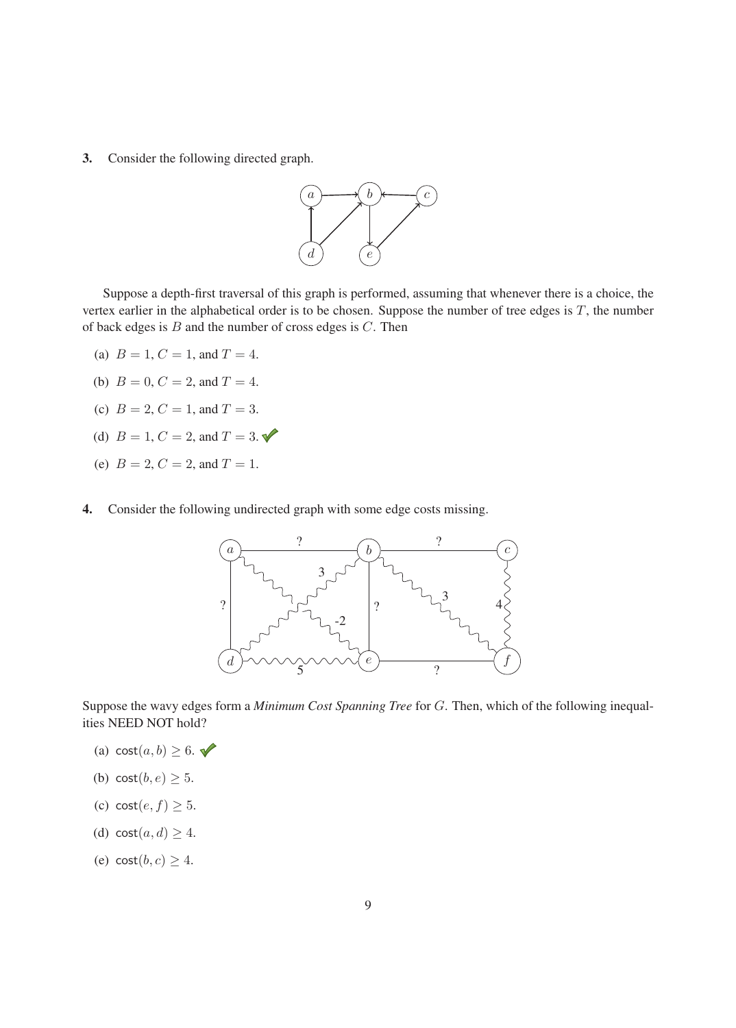3. Consider the following directed graph.



Suppose a depth-first traversal of this graph is performed, assuming that whenever there is a choice, the vertex earlier in the alphabetical order is to be chosen. Suppose the number of tree edges is  $T$ , the number of back edges is  $B$  and the number of cross edges is  $C$ . Then

- (a)  $B = 1, C = 1,$  and  $T = 4$ .
- (b)  $B = 0, C = 2, and T = 4.$
- (c)  $B = 2, C = 1,$  and  $T = 3$ .
- (d)  $B = 1, C = 2, and T = 3.$
- (e)  $B = 2, C = 2, and T = 1.$
- 4. Consider the following undirected graph with some edge costs missing.



Suppose the wavy edges form a *Minimum Cost Spanning Tree* for <sup>G</sup>. Then, which of the following inequalities NEED NOT hold?

- (a)  $\text{cost}(a, b) \geq 6$ .
- (b)  $cost(b, e) \geq 5$ .
- (c)  $cost(e, f) \geq 5$ .
- (d)  $cost(a, d) \geq 4$ .
- (e)  $cost(b, c) \geq 4$ .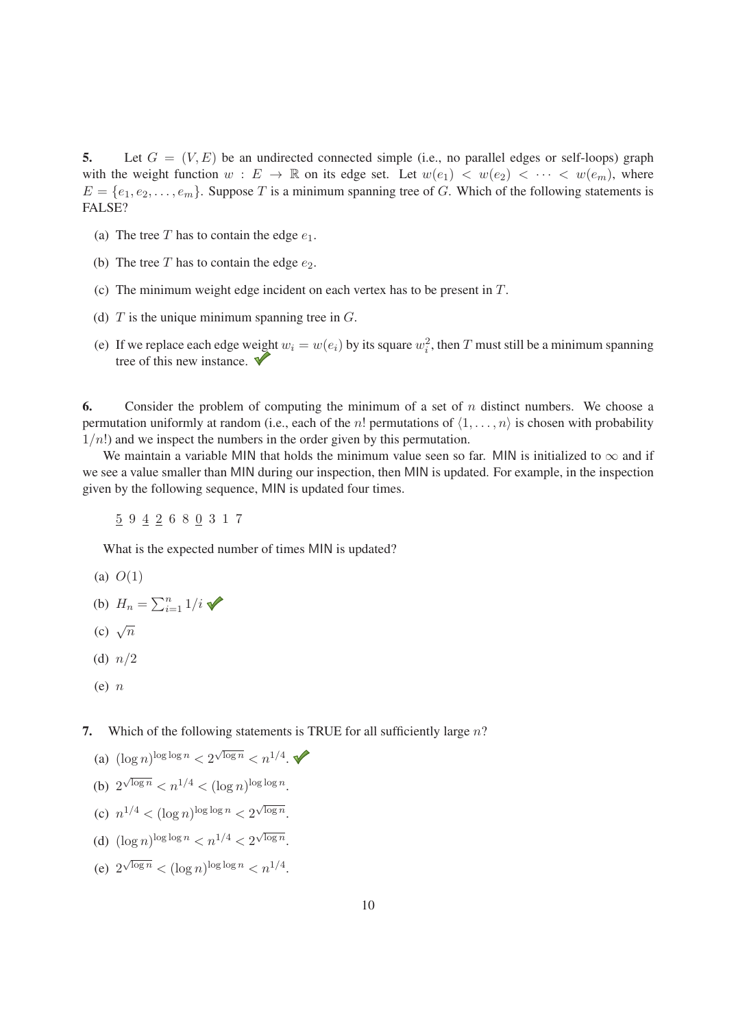5. Let  $G = (V, E)$  be an undirected connected simple (i.e., no parallel edges or self-loops) graph with the weight function  $w : E \to \mathbb{R}$  on its edge set. Let  $w(e_1) < w(e_2) < \cdots < w(e_m)$ , where  $E = \{e_1, e_2, \dots, e_m\}$ . Suppose T is a minimum spanning tree of G. Which of the following statements is FALSE?

- (a) The tree T has to contain the edge  $e_1$ .
- (b) The tree  $T$  has to contain the edge  $e_2$ .
- (c) The minimum weight edge incident on each vertex has to be present in T.
- (d)  $T$  is the unique minimum spanning tree in  $G$ .
- (e) If we replace each edge weight  $w_i = w(e_i)$  by its square  $w_i^2$ , then T must still be a minimum spanning tree of this new instance.  $\blacktriangledown$

6. Consider the problem of computing the minimum of a set of n distinct numbers. We choose a permutation uniformly at random (i.e., each of the *n*! permutations of  $\langle 1, \ldots, n \rangle$  is chosen with probability  $1/n!$ ) and we inspect the numbers in the order given by this permutation.

We maintain a variable MIN that holds the minimum value seen so far. MIN is initialized to  $\infty$  and if we see a value smaller than MIN during our inspection, then MIN is updated. For example, in the inspection given by the following sequence, MIN is updated four times.

5 9 4 2 680 317

What is the expected number of times MIN is updated?

- (a)  $O(1)$
- (b)  $H_n = \sum_{i=1}^n 1/i$
- (c)  $\sqrt{n}$
- (d)  $n/2$
- $(e)$   $n$

7. Which of the following statements is TRUE for all sufficiently large  $n$ ?

- (a)  $(\log n)^{\log \log n} < 2^{\sqrt{\log n}} < n^{1/4}$ . (b)  $2^{\sqrt{\log n}} < n^{1/4} < (\log n)^{\log \log n}$ . (c)  $n^{1/4} < (\log n)^{\log \log n} < 2^{\sqrt{\log n}}$ .
- (d)  $(\log n)^{\log \log n} < n^{1/4} < 2^{\sqrt{\log n}}$ .
- (e)  $2^{\sqrt{\log n}} < (\log n)^{\log \log n} < n^{1/4}$ .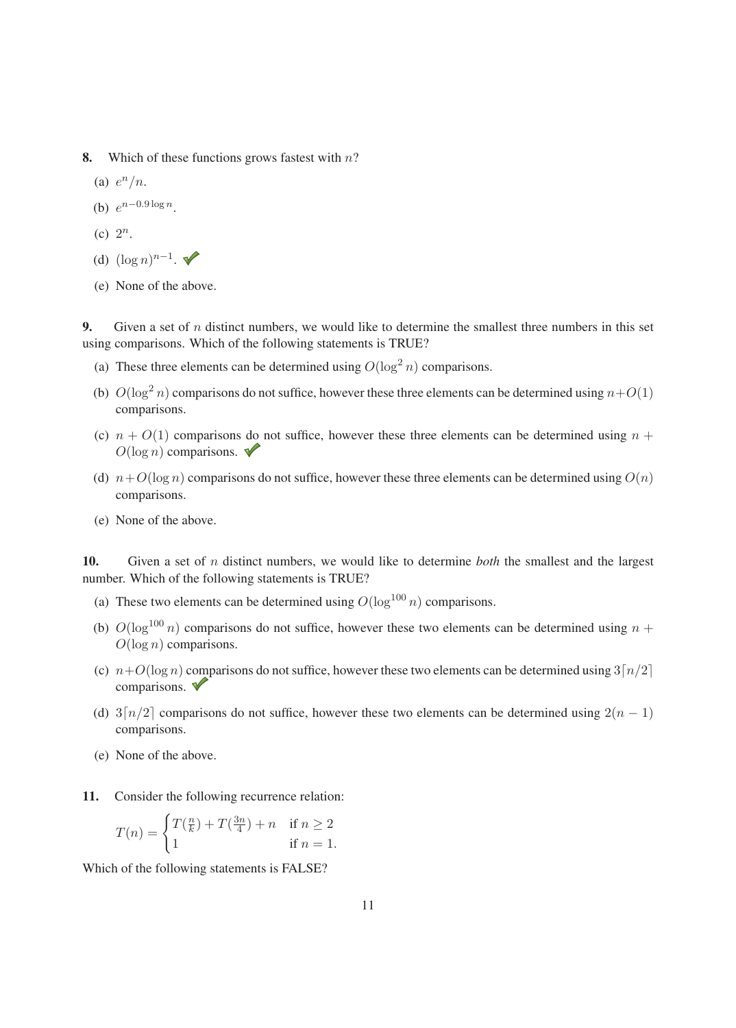- 8. Which of these functions grows fastest with  $n$ ?
	- (a)  $e^n/n$ .
	- (b)  $e^{n-0.9 \log n}$ .
	- (c)  $2^n$ .
	- (d)  $(\log n)^{n-1}$ .  $\blacktriangleright$
	- (e) None of the above.

9. Given a set of  $n$  distinct numbers, we would like to determine the smallest three numbers in this set using comparisons. Which of the following statements is TRUE?

- (a) These three elements can be determined using  $O(\log^2 n)$  comparisons.
- (b)  $O(\log^2 n)$  comparisons do not suffice, however these three elements can be determined using  $n+O(1)$ comparisons.
- (c)  $n + O(1)$  comparisons do not suffice, however these three elements can be determined using  $n +$  $O(\log n)$  comparisons.
- (d)  $n+O(\log n)$  comparisons do not suffice, however these three elements can be determined using  $O(n)$ comparisons.
- (e) None of the above.

10. Given a set of <sup>n</sup> distinct numbers, we would like to determine *both* the smallest and the largest number. Which of the following statements is TRUE?

- (a) These two elements can be determined using  $O(\log^{100} n)$  comparisons.
- (b)  $O(\log^{100} n)$  comparisons do not suffice, however these two elements can be determined using  $n +$  $O(\log n)$  comparisons.
- (c)  $n+O(\log n)$  comparisons do not suffice, however these two elements can be determined using  $3\lceil n/2 \rceil$ comparisons.
- (d)  $3\lceil n/2 \rceil$  comparisons do not suffice, however these two elements can be determined using  $2(n 1)$ comparisons.
- (e) None of the above.
- 11. Consider the following recurrence relation:

$$
T(n) = \begin{cases} T(\frac{n}{k}) + T(\frac{3n}{4}) + n & \text{if } n \ge 2\\ 1 & \text{if } n = 1. \end{cases}
$$

Which of the following statements is FALSE?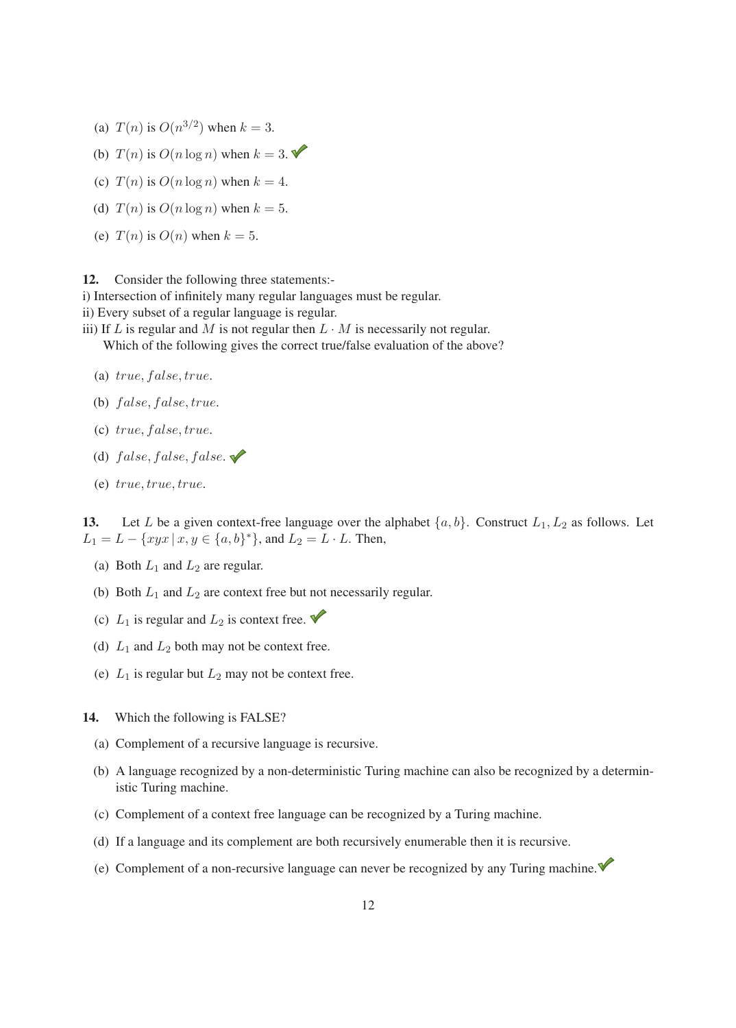- (a)  $T(n)$  is  $O(n^{3/2})$  when  $k = 3$ .
- (b)  $T(n)$  is  $O(n \log n)$  when  $k = 3$ .
- (c)  $T(n)$  is  $O(n \log n)$  when  $k = 4$ .
- (d)  $T(n)$  is  $O(n \log n)$  when  $k = 5$ .
- (e)  $T(n)$  is  $O(n)$  when  $k = 5$ .

12. Consider the following three statements:-

i) Intersection of infinitely many regular languages must be regular.

ii) Every subset of a regular language is regular.

- iii) If  $L$  is regular and  $M$  is not regular then  $L \cdot M$  is necessarily not regular. Which of the following gives the correct true/false evaluation of the above?
	- (a)  $true, false, true.$
	- (b)  $false, false, true.$
	- $(c) true, false, true.$
	- (d)  $false, false, false.$
	- (e) true, true, true.

13. Let L be a given context-free language over the alphabet  $\{a, b\}$ . Construct  $L_1, L_2$  as follows. Let  $L_1 = L - \{xyx \mid x, y \in \{a, b\}^*\}$ , and  $L_2 = L \cdot L$ . Then,

- (a) Both  $L_1$  and  $L_2$  are regular.
- (b) Both  $L_1$  and  $L_2$  are context free but not necessarily regular.
- (c)  $L_1$  is regular and  $L_2$  is context free.
- (d)  $L_1$  and  $L_2$  both may not be context free.
- (e)  $L_1$  is regular but  $L_2$  may not be context free.
- 14. Which the following is FALSE?
	- (a) Complement of a recursive language is recursive.
	- (b) A language recognized by a non-deterministic Turing machine can also be recognized by a deterministic Turing machine.
	- (c) Complement of a context free language can be recognized by a Turing machine.
	- (d) If a language and its complement are both recursively enumerable then it is recursive.
	- (e) Complement of a non-recursive language can never be recognized by any Turing machine.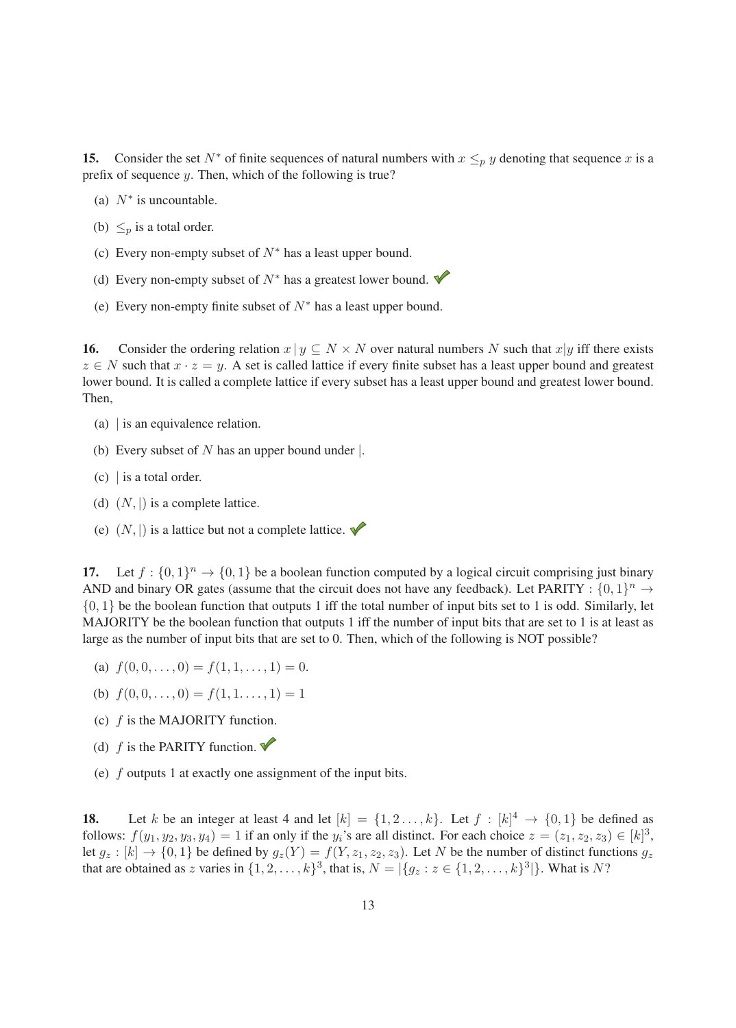15. Consider the set  $N^*$  of finite sequences of natural numbers with  $x \leq_p y$  denoting that sequence x is a prefix of sequence y. Then, which of the following is true?

- (a)  $N^*$  is uncountable.
- (b)  $\leq_p$  is a total order.
- (c) Every non-empty subset of  $N^*$  has a least upper bound.
- (d) Every non-empty subset of  $N^*$  has a greatest lower bound.
- (e) Every non-empty finite subset of  $N^*$  has a least upper bound.

**16.** Consider the ordering relation  $x | y \subseteq N \times N$  over natural numbers N such that  $x | y$  iff there exists  $z \in N$  such that  $x \cdot z = y$ . A set is called lattice if every finite subset has a least upper bound and greatest lower bound. It is called a complete lattice if every subset has a least upper bound and greatest lower bound. Then,

- (a) | is an equivalence relation.
- (b) Every subset of  $N$  has an upper bound under  $\vert$ .
- $(c)$  is a total order.
- (d)  $(N, |)$  is a complete lattice.
- (e)  $(N, |)$  is a lattice but not a complete lattice.

17. Let  $f : \{0,1\}^n \to \{0,1\}$  be a boolean function computed by a logical circuit comprising just binary AND and binary OR gates (assume that the circuit does not have any feedback). Let PARITY :  $\{0, 1\}^n \rightarrow$  $\{0, 1\}$  be the boolean function that outputs 1 iff the total number of input bits set to 1 is odd. Similarly, let MAJORITY be the boolean function that outputs 1 iff the number of input bits that are set to 1 is at least as large as the number of input bits that are set to 0. Then, which of the following is NOT possible?

- (a)  $f(0, 0, \ldots, 0) = f(1, 1, \ldots, 1) = 0.$
- (b)  $f(0, 0, \ldots, 0) = f(1, 1, \ldots, 1) = 1$
- (c)  $f$  is the MAJORITY function.
- (d)  $f$  is the PARITY function.
- (e)  $f$  outputs 1 at exactly one assignment of the input bits.

18. Let k be an integer at least 4 and let  $[k] = \{1, 2, \ldots, k\}$ . Let  $f : [k]^4 \rightarrow \{0, 1\}$  be defined as follows:  $f(y_1, y_2, y_3, y_4) = 1$  if an only if the y<sub>i</sub>'s are all distinct. For each choice  $z = (z_1, z_2, z_3) \in [k]^3$ , let  $g_z : [k] \to \{0, 1\}$  be defined by  $g_z(Y) = f(Y, z_1, z_2, z_3)$ . Let N be the number of distinct functions  $g_z$ that are obtained as z varies in  $\{1, 2, ..., k\}^3$ , that is,  $N = |\{g_z : z \in \{1, 2, ..., k\}^3|\}$ . What is N?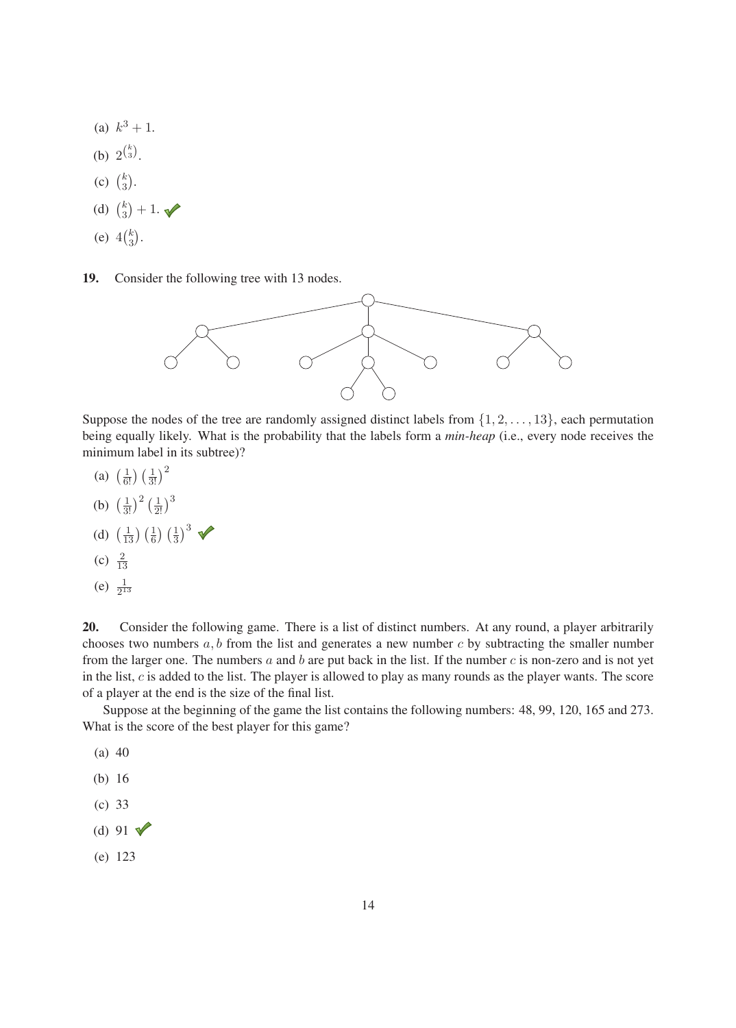- (a)  $k^3 + 1$ .
- (b)  $2^{\binom{k}{3}}$ .
- (c)  $\binom{k}{3}$ .
- (d)  $\binom{k}{3} + 1$ .
- (e)  $4\binom{k}{3}$ .
- 19. Consider the following tree with 13 nodes.



Suppose the nodes of the tree are randomly assigned distinct labels from  $\{1, 2, \ldots, 13\}$ , each permutation being equally likely. What is the probability that the labels form a *min-heap* (i.e., every node receives the minimum label in its subtree)?

- (a)  $\left(\frac{1}{6!}\right) \left(\frac{1}{3!}\right)^2$
- (b)  $\left(\frac{1}{3!}\right)^2 \left(\frac{1}{2!}\right)^3$

(d) 
$$
\left(\frac{1}{13}\right)\left(\frac{1}{6}\right)\left(\frac{1}{3}\right)^3
$$

(c)  $\frac{2}{13}$ 

13

(e)  $\frac{1}{2^{13}}$ 

20. Consider the following game. There is a list of distinct numbers. At any round, a player arbitrarily chooses two numbers  $a, b$  from the list and generates a new number c by subtracting the smaller number from the larger one. The numbers  $a$  and  $b$  are put back in the list. If the number  $c$  is non-zero and is not yet in the list,  $c$  is added to the list. The player is allowed to play as many rounds as the player wants. The score of a player at the end is the size of the final list.

Suppose at the beginning of the game the list contains the following numbers: 48, 99, 120, 165 and 273. What is the score of the best player for this game?

- (a) 40
- (b) 16
- (c) 33
- (d) 91  $\sqrt{ }$
- (e) 123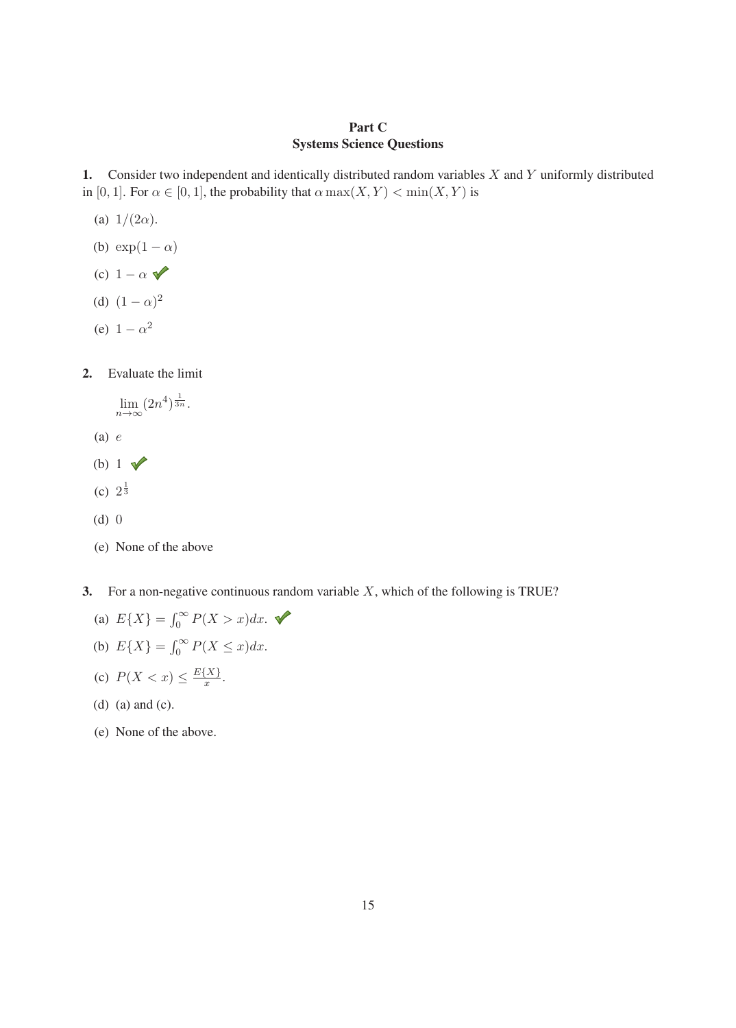#### Part C Systems Science Questions

1. Consider two independent and identically distributed random variables  $X$  and  $Y$  uniformly distributed in [0, 1]. For  $\alpha \in [0, 1]$ , the probability that  $\alpha \max(X, Y) < \min(X, Y)$  is

- (a)  $1/(2\alpha)$ .
- (b)  $\exp(1-\alpha)$
- (c)  $1 \alpha$
- (d)  $(1 \alpha)^2$
- (e)  $1 \alpha^2$
- 2. Evaluate the limit
	- $\lim_{n\to\infty}(2n^4)^{\frac{1}{3n}}.$
	- (a) e
	- (b)  $1 \sqrt{ }$
	- (c)  $2^{\frac{1}{3}}$
	- (d) 0
	- (e) None of the above
- 3. For a non-negative continuous random variable  $X$ , which of the following is TRUE?
	- (a)  $E\{X\} = \int_0^\infty P(X > x) dx$ .
	- (b)  $E\{X\} = \int_0^\infty P(X \le x) dx$ .
	- (c)  $P(X < x) \leq \frac{E\{X\}}{x}$ .
	- (d) (a) and (c).
	- (e) None of the above.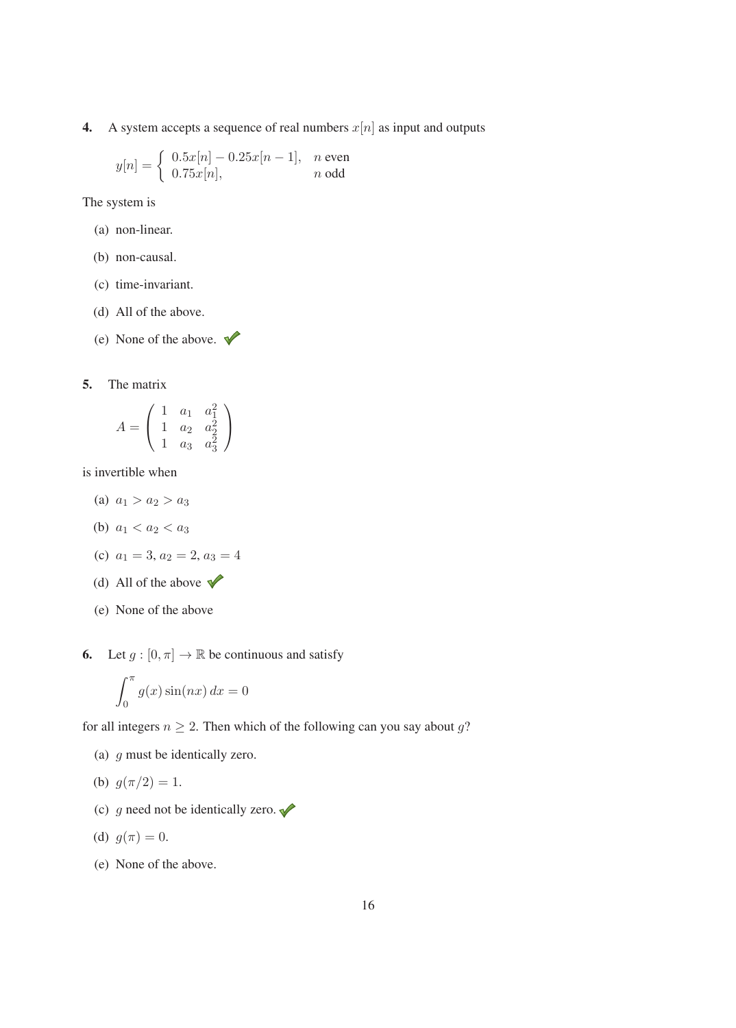4. A system accepts a sequence of real numbers  $x[n]$  as input and outputs

$$
y[n] = \left\{ \begin{array}{ll} 0.5x[n]-0.25x[n-1], & n \text{ even} \\ 0.75x[n], & n \text{ odd} \end{array} \right.
$$

The system is

- (a) non-linear.
- (b) non-causal.
- (c) time-invariant.
- (d) All of the above.
- (e) None of the above.  $\blacktriangledown$
- 5. The matrix

$$
A = \begin{pmatrix} 1 & a_1 & a_1^2 \\ 1 & a_2 & a_2^2 \\ 1 & a_3 & a_3^2 \end{pmatrix}
$$

is invertible when

- (a)  $a_1 > a_2 > a_3$
- (b)  $a_1 < a_2 < a_3$
- (c)  $a_1 = 3, a_2 = 2, a_3 = 4$
- (d) All of the above  $\sqrt{\phantom{a}}$
- (e) None of the above
- 6. Let  $g : [0, \pi] \to \mathbb{R}$  be continuous and satisfy

$$
\int_0^\pi g(x)\sin(nx)\,dx = 0
$$

for all integers  $n \geq 2$ . Then which of the following can you say about g?

- (a) g must be identically zero.
- (b)  $g(\pi/2) = 1$ .
- (c) g need not be identically zero.  $\blacklozenge$

(d) 
$$
g(\pi) = 0
$$
.

(e) None of the above.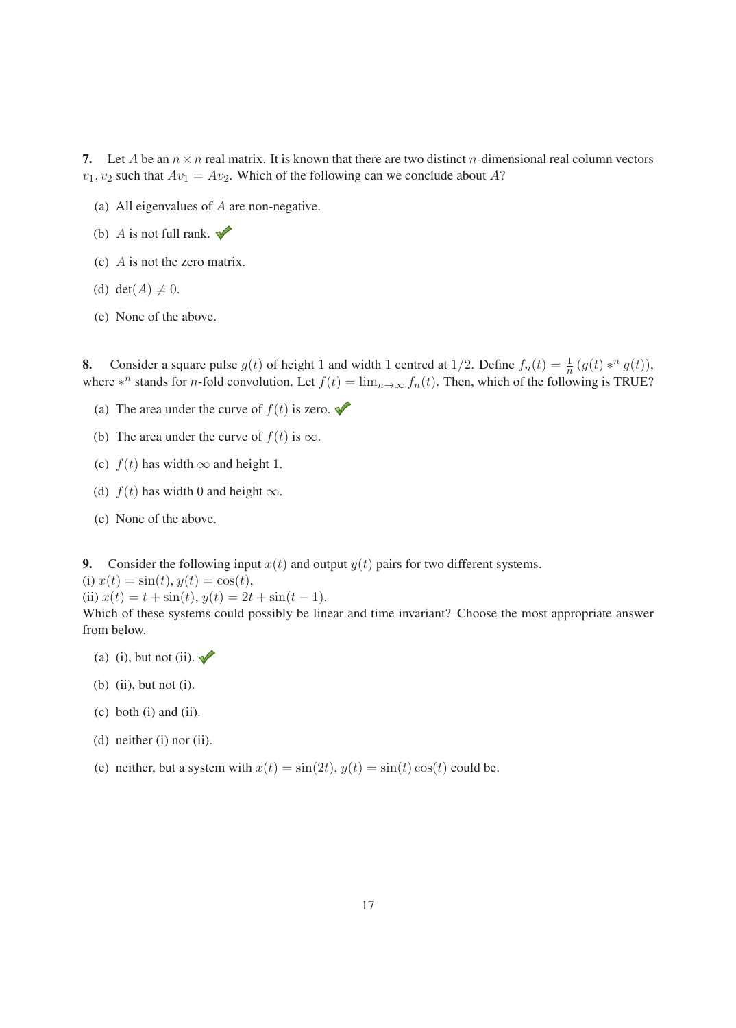7. Let A be an  $n \times n$  real matrix. It is known that there are two distinct n-dimensional real column vectors  $v_1, v_2$  such that  $Av_1 = Av_2$ . Which of the following can we conclude about A?

- (a) All eigenvalues of  $A$  are non-negative.
- (b) A is not full rank.  $\blacktriangleright$
- (c) A is not the zero matrix.
- (d) det( $A$ )  $\neq$  0.
- (e) None of the above.

**8.** Consider a square pulse  $g(t)$  of height 1 and width 1 centred at 1/2. Define  $f_n(t) = \frac{1}{n} (g(t) *^n g(t)),$ where  $*^n$  stands for *n*-fold convolution. Let  $f(t) = \lim_{n\to\infty} f_n(t)$ . Then, which of the following is TRUE?

- (a) The area under the curve of  $f(t)$  is zero.
- (b) The area under the curve of  $f(t)$  is  $\infty$ .
- (c)  $f(t)$  has width  $\infty$  and height 1.
- (d)  $f(t)$  has width 0 and height  $\infty$ .
- (e) None of the above.

9. Consider the following input  $x(t)$  and output  $y(t)$  pairs for two different systems.

(i)  $x(t) = \sin(t), y(t) = \cos(t),$ 

(ii)  $x(t) = t + \sin(t), y(t) = 2t + \sin(t - 1).$ 

Which of these systems could possibly be linear and time invariant? Choose the most appropriate answer from below.

- (a) (i), but not (ii).  $\blacktriangleright$
- (b) (ii), but not (i).
- (c) both (i) and (ii).
- (d) neither (i) nor (ii).
- (e) neither, but a system with  $x(t) = \sin(2t)$ ,  $y(t) = \sin(t) \cos(t)$  could be.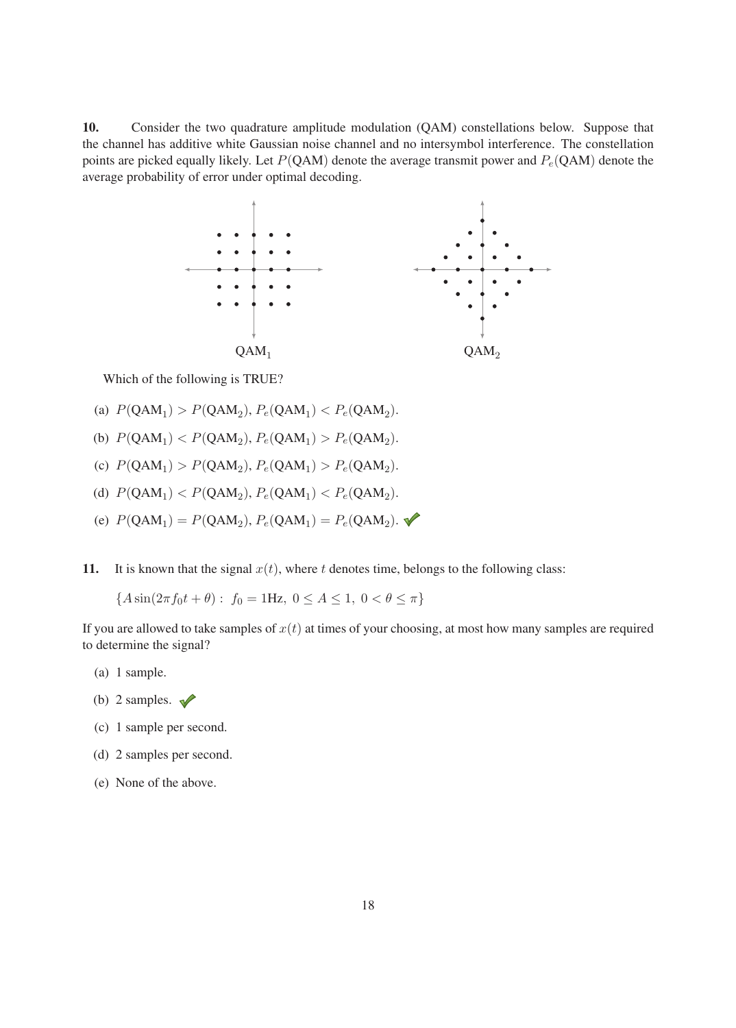10. Consider the two quadrature amplitude modulation (QAM) constellations below. Suppose that the channel has additive white Gaussian noise channel and no intersymbol interference. The constellation points are picked equally likely. Let  $P(QAM)$  denote the average transmit power and  $P_e(QAM)$  denote the average probability of error under optimal decoding.



Which of the following is TRUE?

- (a)  $P(QAM_1) > P(QAM_2), P_e(QAM_1) < P_e(QAM_2).$
- (b)  $P(QAM_1) < P(QAM_2)$ ,  $P_e(QAM_1) > P_e(QAM_2)$ .
- (c)  $P(OAM_1) > P(OAM_2)$ ,  $P_e(OAM_1) > P_e(OAM_2)$ .
- (d)  $P(QAM_1) < P(QAM_2), P_e(QAM_1) < P_e(QAM_2)$ .
- (e)  $P(QAM_1) = P(QAM_2), P_e(QAM_1) = P_e(QAM_2).$
- 11. It is known that the signal  $x(t)$ , where t denotes time, belongs to the following class:

 ${A \sin(2\pi f_0 t + \theta) : f_0 = 1Hz, 0 \leq A \leq 1, 0 < \theta \leq \pi}$ 

If you are allowed to take samples of  $x(t)$  at times of your choosing, at most how many samples are required to determine the signal?

- (a) 1 sample.
- (b) 2 samples.  $\sqrt{\ }$
- (c) 1 sample per second.
- (d) 2 samples per second.
- (e) None of the above.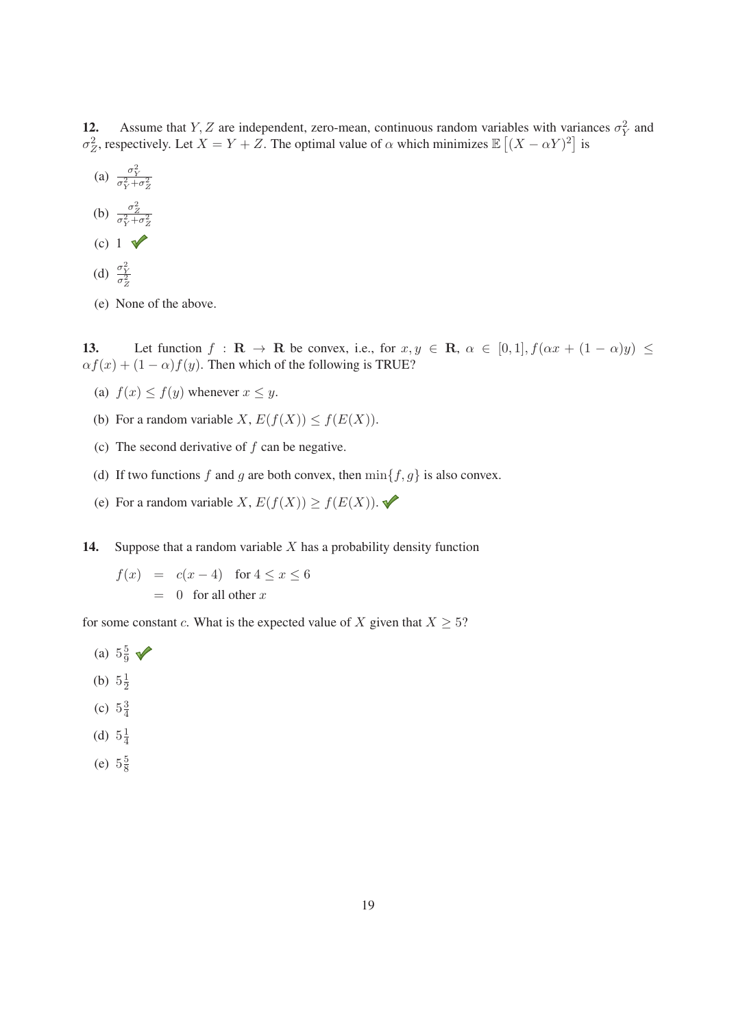12. Assume that Y, Z are independent, zero-mean, continuous random variables with variances  $\sigma_Y^2$  and σ<sup>2</sup><sub>Z</sub>, respectively. Let  $X = Y + Z$ . The optimal value of α which minimizes  $\mathbb{E}[(X - \alpha Y)^2]$  is

- (a)  $\frac{\sigma_Y^2}{\sigma_Y^2 + \sigma_Z^2}$
- (b)  $\frac{\sigma_Z^2}{\sigma_Y^2 + \sigma_Z^2}$
- (c)  $1 \sqrt{ }$
- (d)  $\frac{\sigma_Y^2}{\sigma_Z^2}$
- (e) None of the above.

13. Let function  $f : \mathbf{R} \to \mathbf{R}$  be convex, i.e., for  $x, y \in \mathbf{R}$ ,  $\alpha \in [0,1]$ ,  $f(\alpha x + (1 - \alpha)y) \le$  $\alpha f(x) + (1 - \alpha)f(y)$ . Then which of the following is TRUE?

- (a)  $f(x) \leq f(y)$  whenever  $x \leq y$ .
- (b) For a random variable  $X$ ,  $E(f(X)) \le f(E(X))$ .
- (c) The second derivative of  $f$  can be negative.
- (d) If two functions f and g are both convex, then  $\min\{f,g\}$  is also convex.
- (e) For a random variable X,  $E(f(X)) \ge f(E(X))$ .
- 14. Suppose that a random variable  $X$  has a probability density function
	- $f(x) = c(x-4)$  for  $4 \le x \le 6$  $= 0$  for all other x

for some constant c. What is the expected value of X given that  $X \geq 5$ ?

- (a)  $5\frac{5}{9}$   $\sqrt{ }$
- (b)  $5\frac{1}{2}$
- (c)  $5\frac{3}{4}$
- (d)  $5\frac{1}{4}$
- (e)  $5\frac{5}{8}$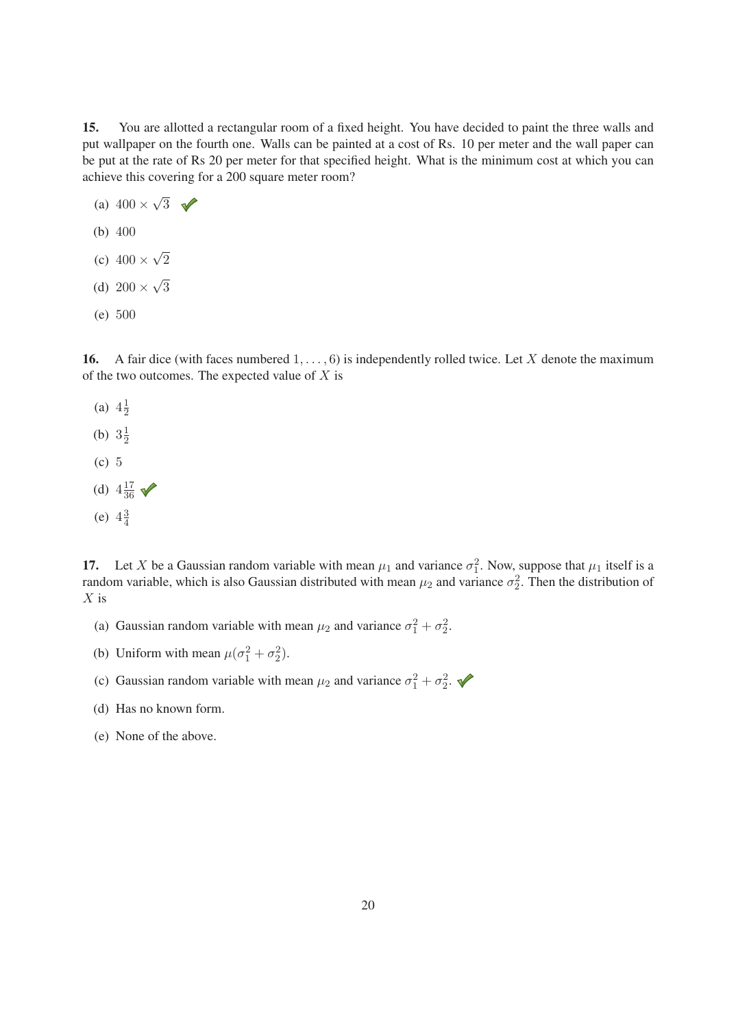15. You are allotted a rectangular room of a fixed height. You have decided to paint the three walls and put wallpaper on the fourth one. Walls can be painted at a cost of Rs. 10 per meter and the wall paper can be put at the rate of Rs 20 per meter for that specified height. What is the minimum cost at which you can achieve this covering for a 200 square meter room?

- (a)  $400 \times \sqrt{3}$
- (b) 400
- (c)  $400 \times \sqrt{2}$
- (d)  $200 \times \sqrt{3}$
- (e) 500

**16.** A fair dice (with faces numbered  $1, \ldots, 6$ ) is independently rolled twice. Let X denote the maximum of the two outcomes. The expected value of  $X$  is

(a)  $4\frac{1}{2}$ (b)  $3\frac{1}{2}$ (c) 5 (d)  $4\frac{17}{36}$   $\sqrt{\phantom{0}}$ (e)  $4\frac{3}{4}$ 

17. Let X be a Gaussian random variable with mean  $\mu_1$  and variance  $\sigma_1^2$ . Now, suppose that  $\mu_1$  itself is a random variable, which is also Gaussian distributed with mean  $\mu_2$  and variance  $\sigma_2^2$ . Then the dis random variable, which is also Gaussian distributed with mean  $\mu_2$  and variance  $\sigma_2^2$ . Then the distribution of  $Y$  is  $X$  is

- (a) Gaussian random variable with mean  $\mu_2$  and variance  $\sigma_1^2 + \sigma_2^2$ .
- (b) Uniform with mean  $\mu(\sigma_1^2 + \sigma_2^2)$ .
- (c) Gaussian random variable with mean  $\mu_2$  and variance  $\sigma_1^2 + \sigma_2^2$ .
- (d) Has no known form.
- (e) None of the above.